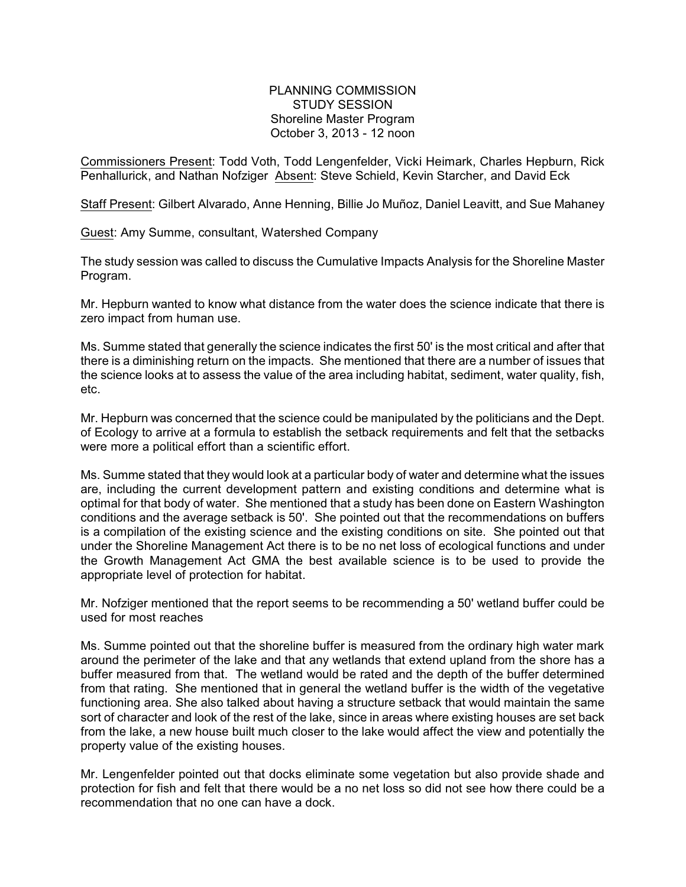PLANNING COMMISSION STUDY SESSION Shoreline Master Program October 3, 2013 - 12 noon

Commissioners Present: Todd Voth, Todd Lengenfelder, Vicki Heimark, Charles Hepburn, Rick Penhallurick, and Nathan Nofziger Absent: Steve Schield, Kevin Starcher, and David Eck

Staff Present: Gilbert Alvarado, Anne Henning, Billie Jo Muñoz, Daniel Leavitt, and Sue Mahaney

Guest: Amy Summe, consultant, Watershed Company

The study session was called to discuss the Cumulative Impacts Analysis for the Shoreline Master Program.

Mr. Hepburn wanted to know what distance from the water does the science indicate that there is zero impact from human use.

Ms. Summe stated that generally the science indicates the first 50' is the most critical and after that there is a diminishing return on the impacts. She mentioned that there are a number of issues that the science looks at to assess the value of the area including habitat, sediment, water quality, fish, etc.

Mr. Hepburn was concerned that the science could be manipulated by the politicians and the Dept. of Ecology to arrive at a formula to establish the setback requirements and felt that the setbacks were more a political effort than a scientific effort.

Ms. Summe stated that they would look at a particular body of water and determine what the issues are, including the current development pattern and existing conditions and determine what is optimal for that body of water. She mentioned that a study has been done on Eastern Washington conditions and the average setback is 50'. She pointed out that the recommendations on buffers is a compilation of the existing science and the existing conditions on site. She pointed out that under the Shoreline Management Act there is to be no net loss of ecological functions and under the Growth Management Act GMA the best available science is to be used to provide the appropriate level of protection for habitat.

Mr. Nofziger mentioned that the report seems to be recommending a 50' wetland buffer could be used for most reaches

Ms. Summe pointed out that the shoreline buffer is measured from the ordinary high water mark around the perimeter of the lake and that any wetlands that extend upland from the shore has a buffer measured from that. The wetland would be rated and the depth of the buffer determined from that rating. She mentioned that in general the wetland buffer is the width of the vegetative functioning area. She also talked about having a structure setback that would maintain the same sort of character and look of the rest of the lake, since in areas where existing houses are set back from the lake, a new house built much closer to the lake would affect the view and potentially the property value of the existing houses.

Mr. Lengenfelder pointed out that docks eliminate some vegetation but also provide shade and protection for fish and felt that there would be a no net loss so did not see how there could be a recommendation that no one can have a dock.